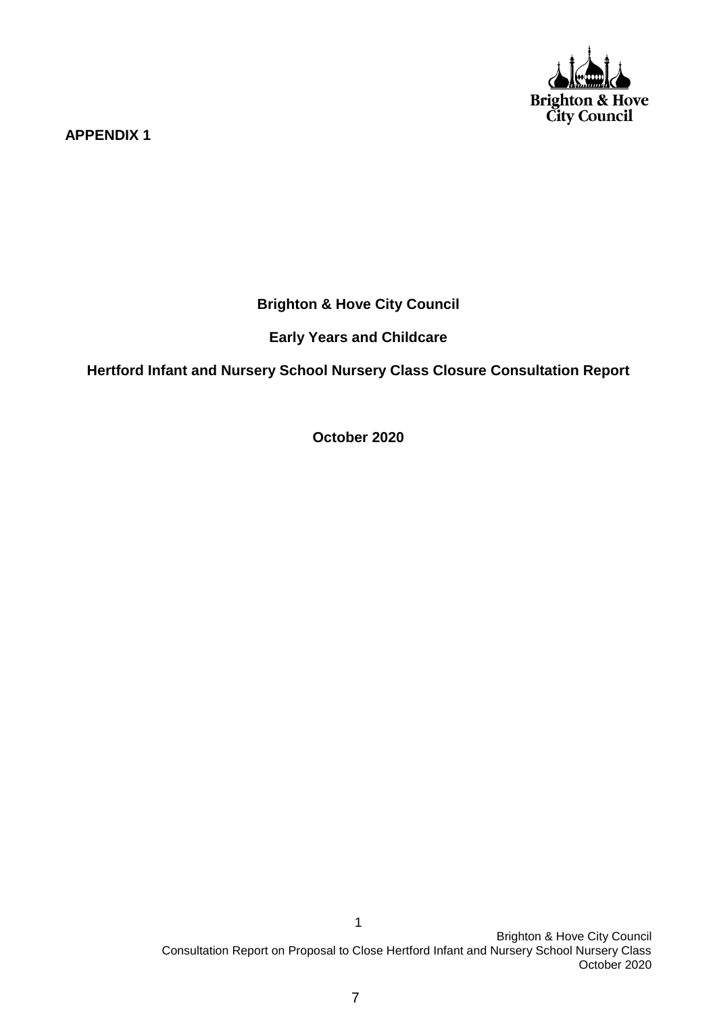

**APPENDIX 1**

**Brighton & Hove City Council**

**Early Years and Childcare**

**Hertford Infant and Nursery School Nursery Class Closure Consultation Report**

**October 2020**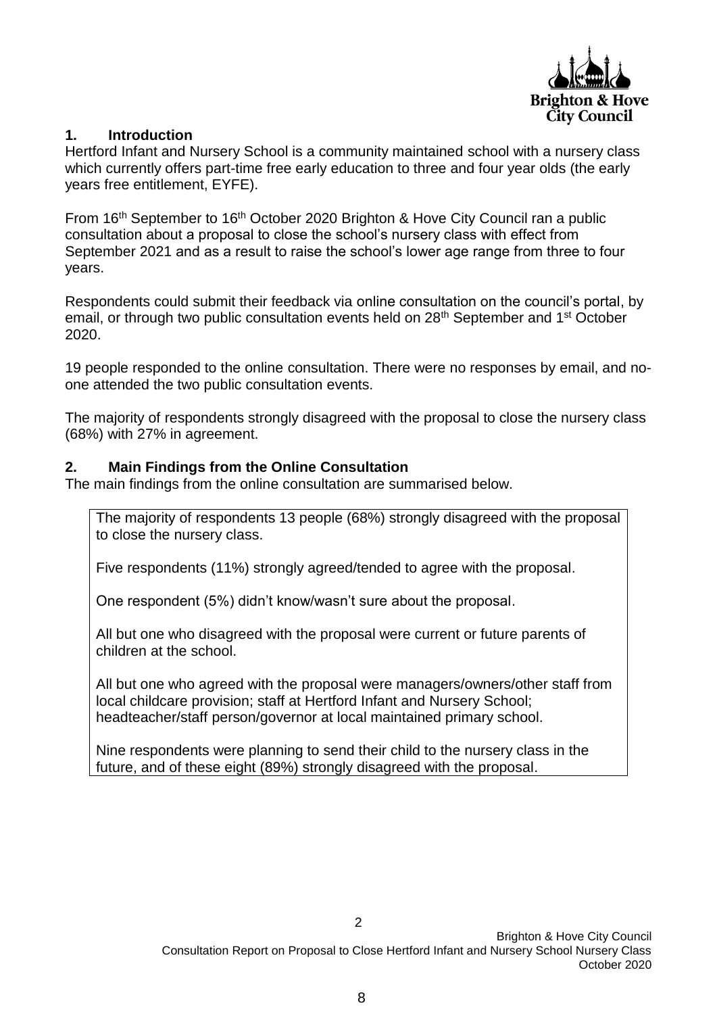

## **1. Introduction**

Hertford Infant and Nursery School is a community maintained school with a nursery class which currently offers part-time free early education to three and four year olds (the early years free entitlement, EYFE).

From 16<sup>th</sup> September to 16<sup>th</sup> October 2020 Brighton & Hove City Council ran a public consultation about a proposal to close the school's nursery class with effect from September 2021 and as a result to raise the school's lower age range from three to four years.

Respondents could submit their feedback via online consultation on the council's portal, by email, or through two public consultation events held on 28<sup>th</sup> September and 1<sup>st</sup> October 2020.

19 people responded to the online consultation. There were no responses by email, and noone attended the two public consultation events.

The majority of respondents strongly disagreed with the proposal to close the nursery class (68%) with 27% in agreement.

### **2. Main Findings from the Online Consultation**

The main findings from the online consultation are summarised below.

The majority of respondents 13 people (68%) strongly disagreed with the proposal to close the nursery class.

Five respondents (11%) strongly agreed/tended to agree with the proposal.

One respondent (5%) didn't know/wasn't sure about the proposal.

All but one who disagreed with the proposal were current or future parents of children at the school.

All but one who agreed with the proposal were managers/owners/other staff from local childcare provision; staff at Hertford Infant and Nursery School; headteacher/staff person/governor at local maintained primary school.

Nine respondents were planning to send their child to the nursery class in the future, and of these eight (89%) strongly disagreed with the proposal.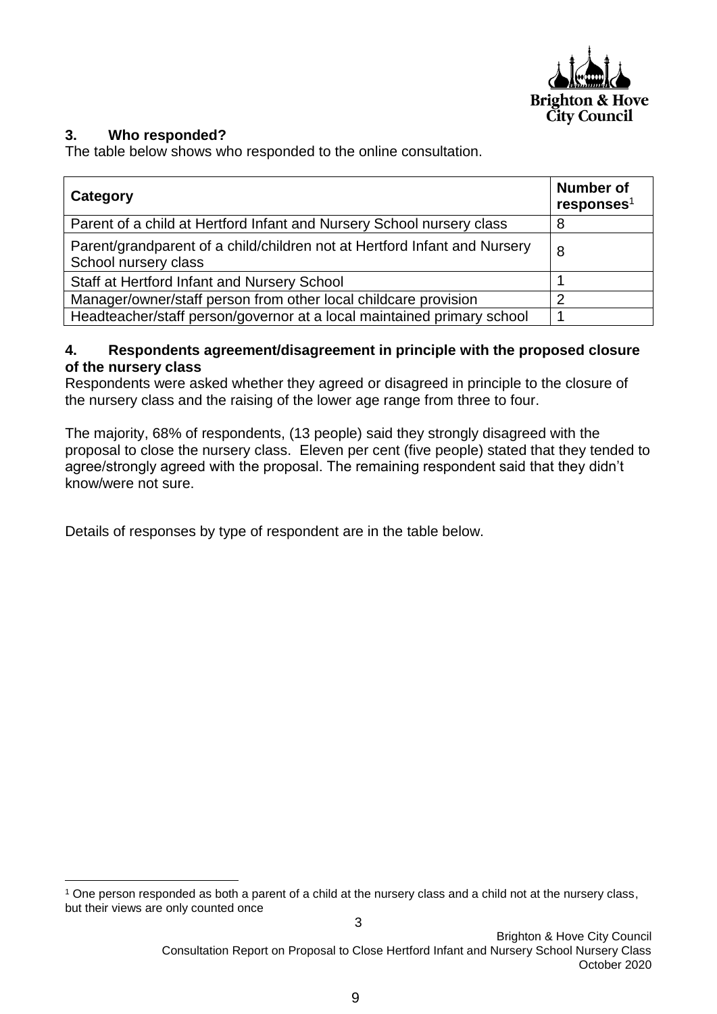

# **3. Who responded?**

**.** 

The table below shows who responded to the online consultation.

| Category                                                                                          | <b>Number of</b><br>responents <sup>1</sup> |
|---------------------------------------------------------------------------------------------------|---------------------------------------------|
| Parent of a child at Hertford Infant and Nursery School nursery class                             |                                             |
| Parent/grandparent of a child/children not at Hertford Infant and Nursery<br>School nursery class | 8                                           |
| Staff at Hertford Infant and Nursery School                                                       |                                             |
| Manager/owner/staff person from other local childcare provision                                   | ⌒                                           |
| Headteacher/staff person/governor at a local maintained primary school                            |                                             |

## **4. Respondents agreement/disagreement in principle with the proposed closure of the nursery class**

Respondents were asked whether they agreed or disagreed in principle to the closure of the nursery class and the raising of the lower age range from three to four.

The majority, 68% of respondents, (13 people) said they strongly disagreed with the proposal to close the nursery class. Eleven per cent (five people) stated that they tended to agree/strongly agreed with the proposal. The remaining respondent said that they didn't know/were not sure.

Details of responses by type of respondent are in the table below.

<sup>1</sup> One person responded as both a parent of a child at the nursery class and a child not at the nursery class, but their views are only counted once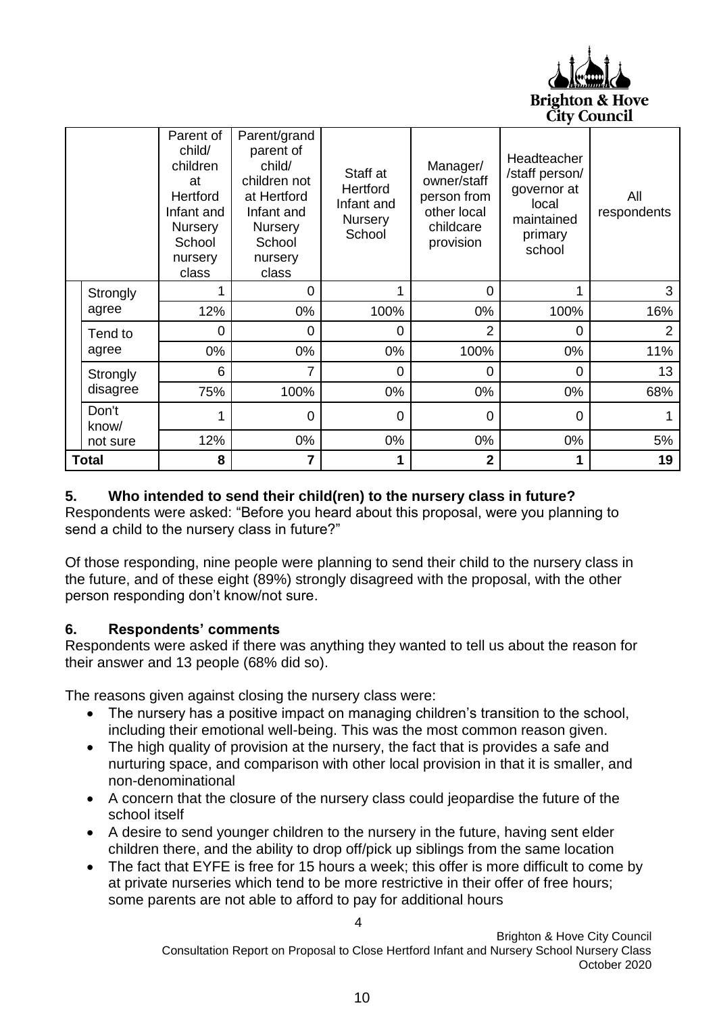

|              |                | Parent of<br>child/<br>children<br>at<br>Hertford<br>Infant and<br>Nursery<br>School<br>nursery<br>class | Parent/grand<br>parent of<br>child/<br>children not<br>at Hertford<br>Infant and<br>Nursery<br>School<br>nursery<br>class | Staff at<br>Hertford<br>Infant and<br><b>Nursery</b><br>School | Manager/<br>owner/staff<br>person from<br>other local<br>childcare<br>provision | Headteacher<br>/staff person/<br>governor at<br>local<br>maintained<br>primary<br>school | All<br>respondents |
|--------------|----------------|----------------------------------------------------------------------------------------------------------|---------------------------------------------------------------------------------------------------------------------------|----------------------------------------------------------------|---------------------------------------------------------------------------------|------------------------------------------------------------------------------------------|--------------------|
|              | Strongly       |                                                                                                          | 0                                                                                                                         | 1                                                              | 0                                                                               |                                                                                          | 3                  |
|              | agree          | 12%                                                                                                      | 0%                                                                                                                        | 100%                                                           | 0%                                                                              | 100%                                                                                     | 16%                |
|              | Tend to        | 0                                                                                                        | 0                                                                                                                         | 0                                                              | 2                                                                               | 0                                                                                        | $\overline{2}$     |
|              | agree          | 0%                                                                                                       | 0%                                                                                                                        | 0%                                                             | 100%                                                                            | 0%                                                                                       | 11%                |
|              | Strongly       | 6                                                                                                        | 7                                                                                                                         | 0                                                              | 0                                                                               | 0                                                                                        | 13                 |
|              | disagree       | 75%                                                                                                      | 100%                                                                                                                      | 0%                                                             | $0\%$                                                                           | 0%                                                                                       | 68%                |
|              | Don't<br>know/ |                                                                                                          | 0                                                                                                                         | 0                                                              | 0                                                                               | 0                                                                                        |                    |
|              | not sure       | 12%                                                                                                      | 0%                                                                                                                        | 0%                                                             | 0%                                                                              | 0%                                                                                       | 5%                 |
| <b>Total</b> |                | 8                                                                                                        | 7                                                                                                                         | 1                                                              | $\overline{2}$                                                                  |                                                                                          | 19                 |

# **5. Who intended to send their child(ren) to the nursery class in future?**

Respondents were asked: "Before you heard about this proposal, were you planning to send a child to the nursery class in future?"

Of those responding, nine people were planning to send their child to the nursery class in the future, and of these eight (89%) strongly disagreed with the proposal, with the other person responding don't know/not sure.

### **6. Respondents' comments**

Respondents were asked if there was anything they wanted to tell us about the reason for their answer and 13 people (68% did so).

The reasons given against closing the nursery class were:

- The nursery has a positive impact on managing children's transition to the school, including their emotional well-being. This was the most common reason given.
- The high quality of provision at the nursery, the fact that is provides a safe and nurturing space, and comparison with other local provision in that it is smaller, and non-denominational
- A concern that the closure of the nursery class could jeopardise the future of the school itself
- A desire to send younger children to the nursery in the future, having sent elder children there, and the ability to drop off/pick up siblings from the same location
- The fact that EYFE is free for 15 hours a week; this offer is more difficult to come by at private nurseries which tend to be more restrictive in their offer of free hours; some parents are not able to afford to pay for additional hours

4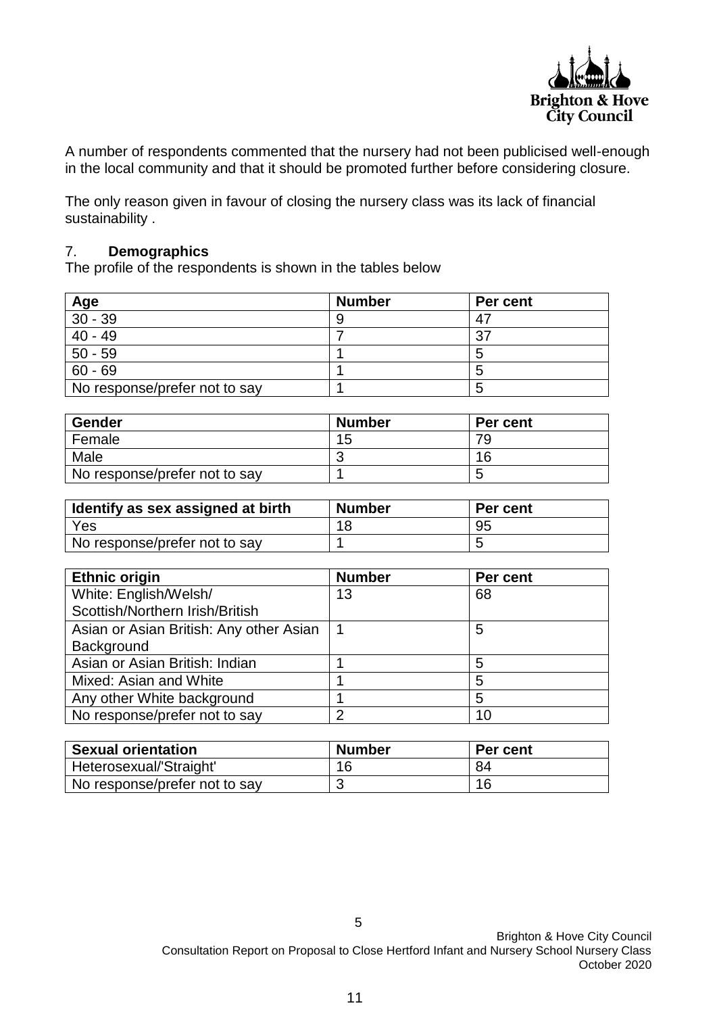

A number of respondents commented that the nursery had not been publicised well-enough in the local community and that it should be promoted further before considering closure.

The only reason given in favour of closing the nursery class was its lack of financial sustainability .

#### 7. **Demographics**

The profile of the respondents is shown in the tables below

| Age                           | <b>Number</b> | Per cent |
|-------------------------------|---------------|----------|
| $30 - 39$                     |               |          |
| $40 - 49$                     |               | ົ        |
| $50 - 59$                     |               |          |
| $60 - 69$                     |               |          |
| No response/prefer not to say |               |          |

| <b>Gender</b>                 | <b>Number</b> | Per cent |
|-------------------------------|---------------|----------|
| Female                        | 15            | 79       |
| Male                          |               | 16       |
| No response/prefer not to say |               |          |

| Identify as sex assigned at birth | <b>Number</b> | Per cent |
|-----------------------------------|---------------|----------|
| Yes                               |               | 95       |
| No response/prefer not to say     |               |          |

| <b>Ethnic origin</b>                    | <b>Number</b> | Per cent |
|-----------------------------------------|---------------|----------|
| White: English/Welsh/                   | 13            | 68       |
| Scottish/Northern Irish/British         |               |          |
| Asian or Asian British: Any other Asian |               | 5        |
| Background                              |               |          |
| Asian or Asian British: Indian          |               | 5        |
| Mixed: Asian and White                  |               | 5        |
| Any other White background              |               | 5        |
| No response/prefer not to say           | っ             | 10       |

| <b>Sexual orientation</b>     | <b>Number</b> | <b>Per cent</b> |
|-------------------------------|---------------|-----------------|
| Heterosexual/'Straight'       | 16            | 84              |
| No response/prefer not to say |               | 16              |